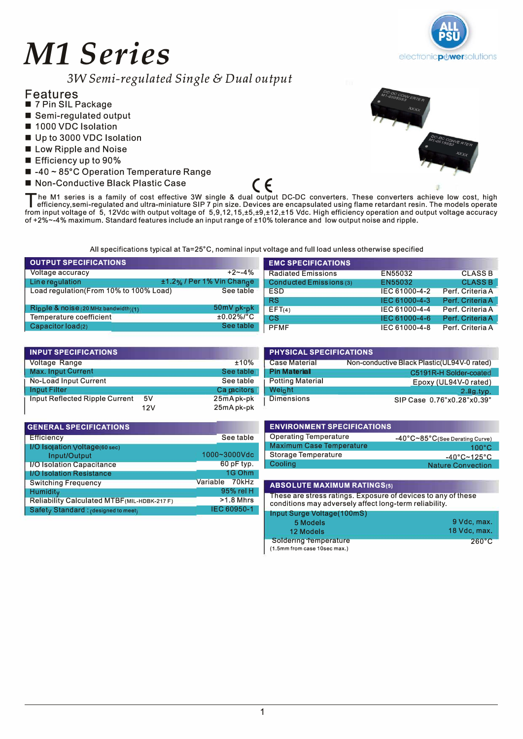# *Ml Series*



3W *Semi-regulated Single* & *Dual output* 

## Features

- 7 Pin SIL Package
- Semi-regulated output ■ 1000 VDC Isolation
- Up to 3000 VDC Isolation
- Low Ripple and Noise
- Efficiency up to 90%
- -40 ~ 85°C Operation Temperature Range
- 



■ Non-Conductive Black Plastic Case<br>■ he M1 series is a family of cost effective 3W single & dual output DC-DC converters. These converters achieve low cost, high The M1 series is a family of cost effective 3W single & dual output DC-DC converters. These converters achieve low cost, high efficiency, semi-regulated and ultra-miniature SIP 7 pin size. Devices are encapsulated using fl efficiency.semi-regulated and ultra-miniature SIP 7 pin size. Devices are encapsulated using flame retardant resin. The models operate of +2%--4% maximum. Standard features include an input range of ±10% tolerance and low output noise and ripple.

All specifications typical at Ta=25°C, nominal input voltage and full load unless otherwise specified

| <b>OUTPUT SPECIFICATIONS</b>           |                           | <b>EMC SPECIFICATIONS</b> |               |                  |
|----------------------------------------|---------------------------|---------------------------|---------------|------------------|
| Voltage accuracy                       | $+2 - -4%$                | <b>Radiated Emissions</b> | EN55032       | <b>CLASS B</b>   |
| Linerequiation                         | ±1.2% / Per 1% Vin Change | Conducted Emissions (3)   | EN55032       | <b>CLASS B</b>   |
| Load regulation(From 10% to 100% Load) | See table                 | <b>ESD</b>                | IEC 61000-4-2 | Perf. Criteria A |
|                                        |                           | <b>RS</b>                 | IEC 61000-4-3 | Perf. Criteria A |
| Ripple & $noise(20 MHz bandwidth(1))$  | $50mV_{p}k-pk$            | EFT(4)                    | IEC 61000-4-4 | Perf. Criteria A |
| Temperature coefficient                | $±0.02\%/°C$              | CS                        | IEC 61000-4-6 | Perf. Criteria A |
| $\overline{C}$ Capacitor load(2)       | See table                 | <b>PFMF</b>               | IEC 61000-4-8 | Perf. Criteria A |

| <b>INPUT SPECIFICATIONS</b>    |     |             | <b>PHYSICAL SPECIFICATIONS</b> |                                              |  |
|--------------------------------|-----|-------------|--------------------------------|----------------------------------------------|--|
| Voltage Range                  |     | ±10%        | <b>Case Material</b>           | Non-conductive Black Plastic (UL94V-0 rated) |  |
| Max. Input Current             |     | See table   | <b>Pin Material</b>            | C5191R-H Solder-coated                       |  |
| No-Load Input Current          |     | See table   | <b>Potting Material</b>        | Epoxy (UL94V-0 rated)                        |  |
| <b>Input Filter</b>            |     | Ca pacitors | Weight                         | $2.8g$ , typ.                                |  |
| Input Reflected Ripple Current | 5V  | 25mApk-pk   | <b>Dimensions</b>              | SIP Case 0.76"x0.28"x0.39"                   |  |
|                                | 12V | 25mA pk-pk  |                                |                                              |  |

| <b>GENERAL SPECIFICATIONS</b>                 |                |
|-----------------------------------------------|----------------|
| <b>Efficiency</b>                             | See table      |
| I/O Isolation Voltage(60 sec)<br>Input/Output | 1000~3000Vdc   |
| <b>I/O Isolation Capacitance</b>              | 60 pF typ.     |
| <b>I/O Isolation Resistance</b>               | 1G Ohm         |
| <b>Switching Frequency</b>                    | Variable 70kHz |
| Humidity                                      | 95% rel H      |
| Reliability Calculated MTBF (MIL-HDBK-217F)   | $>1.8$ Mhrs    |
| Safety Standard: (designed to meet)           | IEC 60950-1    |

|      | <b>PHYSICAL SPECIFICATIONS</b> |                                              |  |  |  |  |
|------|--------------------------------|----------------------------------------------|--|--|--|--|
| ℅    | <b>Case Material</b>           | Non-conductive Black Plastic (UL94V-0 rated) |  |  |  |  |
| le j | <b>Pin Material</b>            | C5191R-H Solder-coated                       |  |  |  |  |
| le   | <b>Potting Material</b>        | Epoxy (UL94V-0 rated)                        |  |  |  |  |
| S.   | Weight                         | $2.8g$ , typ.                                |  |  |  |  |
| ık.  | <b>Dimensions</b>              | SIP Case 0.76"x0.28"x0.39"                   |  |  |  |  |

| <b>ENVIRONMENT SPECIFICATIONS</b> |                                  |
|-----------------------------------|----------------------------------|
| <b>Operating Temperature</b>      | -40°C~85°C(See Derating Curve)   |
| <b>Maximum Case Temperature</b>   | $100^{\circ}$ C                  |
| Storage Temperature               | $-40^{\circ}$ C~125 $^{\circ}$ C |
| Cooling                           | <b>Nature Convection</b>         |

#### **ABSOLUTE MAXIMUM RATINGS(s)**

These are stress ratings. Exposure of devices to any of these conditions may adversely affect long-term reliability.

**Input Surge Voltage(100mS)** 

| <b>Impacturity Contage (Toomo)</b> |                 |
|------------------------------------|-----------------|
| 5 Models                           | 9 Vdc, max.     |
| 12 Models                          | 18 Vdc, max.    |
| Soldering Temperature              | $260^{\circ}$ C |
| (1.5mm from case 10sec max.)       |                 |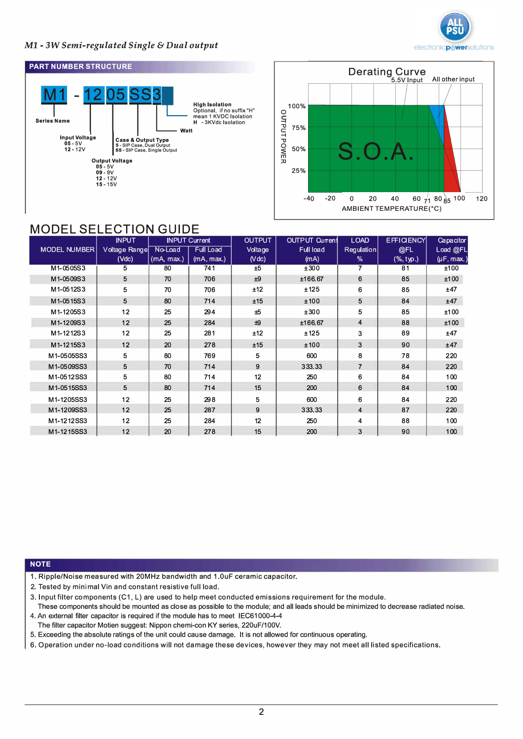

### **Ml** *- 3W Semi-regulated Single* & *Dual output*





# MODEL SELECTION GUIDE

|                     | <b>INPUT</b>  |            | <b>INPUT Current</b> | <b>OUTPUT</b> | OUTPUT Current   | <b>LOAD</b>    | <b>EFFICIENCY</b> | Capacitor       |
|---------------------|---------------|------------|----------------------|---------------|------------------|----------------|-------------------|-----------------|
| <b>MODEL NUMBER</b> | Voltage Range | No-Load    | <b>Full Load</b>     | Voltage       | <b>Full load</b> | Regulation     | @FL               | Load @FL        |
|                     | (Vdc)         | (mA, max.) | (mA, max.)           | (Vdc)         | (mA)             | %              | (%, typ.)         | $(\mu F, max.)$ |
| M1-0505S3           | 5             | 80         | 741                  | ±5            | ±300             | 7              | 81                | ±100            |
| M1-0509S3           | 5             | 70         | 706                  | ±9            | ±166.67          | 6              | 85                | ±100            |
| M1-0512S3           | 5             | 70         | 706                  | ±12           | ±125             | 6              | 85                | ±47             |
| M1-0515S3           | 5             | 80         | 714                  | ±15           | ±100             | 5              | 84                | ±47             |
| M1-1205S3           | 12            | 25         | 294                  | ±5            | ±300             | 5              | 85                | ±100            |
| M1-1209S3           | 12            | 25         | 284                  | $+9$          | ±166.67          | $\overline{4}$ | 88                | ±100            |
| M1-1212S3           | 12            | 25         | 281                  | ±12           | ±125             | 3              | 89                | ±47             |
| M1-1215S3           | 12            | 20         | 278                  | ±15           | ±100             | 3              | 90                | ±47             |
| M1-0505SS3          | 5             | 80         | 769                  | 5             | 600              | 8              | 78                | 220             |
| M1-0509SS3          | 5             | 70         | 714                  | 9             | 333.33           | $\overline{7}$ | 84                | 220             |
| M1-0512SS3          | 5             | 80         | 714                  | 12            | 250              | 6              | 84                | 100             |
| M1-0515SS3          | 5             | 80         | 714                  | 15            | 200              | 6              | 84                | 100             |
| M1-1205SS3          | 12            | 25         | 298                  | 5             | 600              | 6              | 84                | 220             |
| M1-1209SS3          | 12            | 25         | 287                  | 9             | 333.33           | 4              | 87                | 220             |
| M1-1212SS3          | 12            | 25         | 284                  | 12            | 250              | 4              | 88                | 100             |
| M1-1215SS3          | 12            | 20         | 278                  | 15            | 200              | 3              | 90                | 100             |

#### **NOTE**

- 1. Ripple/Noise measured with 20MHz bandwidth and 1.0uF ceramic capacitor.
- 2. Tested by minimal Vin and constant resistive full load.
- 3. Input filter components (C1, L) are used to help meet conducted emissions requirement for the module. These components should be mounted as close as possible to the module; and all leads should be minimized to decrease radiated noise.
- 4. An external filter capacitor is required if the module has to meet IEC61000-4-4 The filter capacitor Motien suggest: Nippon chemi-con KY series, 220uF/100V.
- 5. Exceeding the absolute ratings of the unit could cause damage. It is not allowed for continuous operating.
- 6. Operation under no-load conditions will not damage these devices, however they may not meet all listed specifications.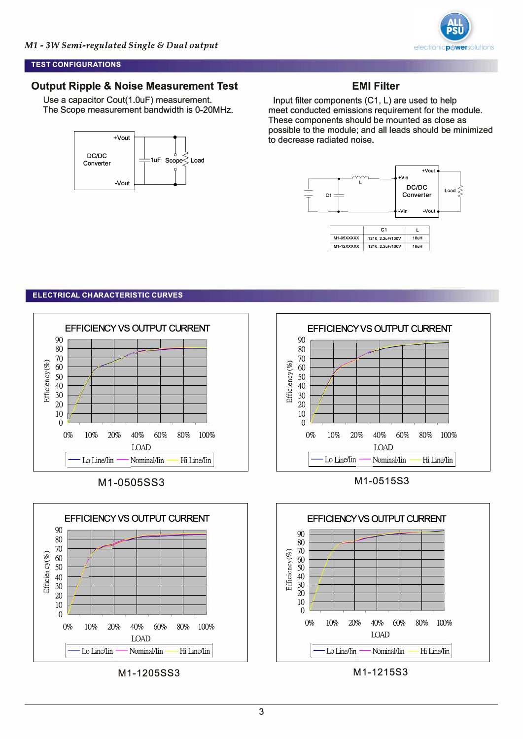

#### **TEST CONFIGURATIONS**

## **Output Ripple & Noise Measurement Test**

Use a capacitor Cout(1.0uF) measurement. The Scope measurement bandwidth is 0-20MHz.



#### **EMI Filter**

Input filter components (C1, L) are used to help meet conducted emissions requirement for the module. These components should be mounted as close as possible to the module; and all leads should be minimized to decrease radiated noise.



#### **ELECTRICAL CHARACTERISTIC CURVES**





M1-1205SS3



M1-1215S3